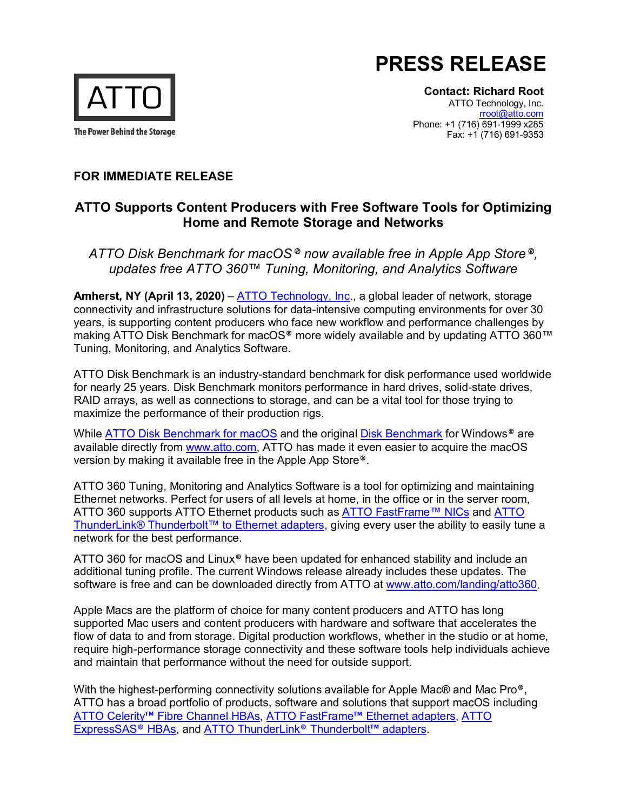



**Contact: Richard Root**

ATTO Technology, Inc. [rroot@atto.com](mailto:rroot@atto.com) Phone: +1 (716) 691-1999 x285 Fax: +1 (716) 691-9353

## **FOR IMMEDIATE RELEASE**

## **ATTO Supports Content Producers with Free Software Tools for Optimizing Home and Remote Storage and Networks**

*ATTO Disk Benchmark for macOS® now available free in Apple App Store®, updates free ATTO 360™ Tuning, Monitoring, and Analytics Software*

**Amherst, NY (April 13, 2020)** – [ATTO Technology, Inc.](http://www.atto.com/), a global leader of network, storage connectivity and infrastructure solutions for data-intensive computing environments for over 30 years, is supporting content producers who face new workflow and performance challenges by making ATTO Disk Benchmark for macOS® more widely available and by updating ATTO 360™ Tuning, Monitoring, and Analytics Software.

ATTO Disk Benchmark is an industry-standard benchmark for disk performance used worldwide for nearly 25 years. Disk Benchmark monitors performance in hard drives, solid-state drives, RAID arrays, as well as connections to storage, and can be a vital tool for those trying to maximize the performance of their production rigs.

While [ATTO Disk Benchmark for macOS](https://www.atto.com/disk-benchmark-macOS/) and the original [Disk Benchmark](https://www.atto.com/disk-benchmark/) for Windows<sup>®</sup> are available directly from [www.atto.com,](http://www.atto.com/) ATTO has made it even easier to acquire the macOS version by making it available free in the Apple App Store®.

ATTO 360 Tuning, Monitoring and Analytics Software is a tool for optimizing and maintaining Ethernet networks. Perfect for users of all levels at home, in the office or in the server room, ATTO 360 supports ATTO Ethernet products such as [ATTO FastFrame™ NICs](https://www.atto.com/products/ethernet-adapters) and ATTO [ThunderLink® Thunderbolt™ to Ethernet adapters,](https://www.atto.com/products/thunderbolt-adapters/thunderlink/) giving every user the ability to easily tune a network for the best performance.

ATTO 360 for macOS and Linux® have been updated for enhanced stability and include an additional tuning profile. The current Windows release already includes these updates. The software is free and can be downloaded directly from ATTO at [www.atto.com/landing/atto360.](https://www.atto.com/landing/atto360)

Apple Macs are the platform of choice for many content producers and ATTO has long supported Mac users and content producers with hardware and software that accelerates the flow of data to and from storage. Digital production workflows, whether in the studio or at home, require high-performance storage connectivity and these software tools help individuals achieve and maintain that performance without the need for outside support.

With the highest-performing connectivity solutions available for Apple Mac® and Mac Pro®, ATTO has a broad portfolio of products, software and solutions that support macOS including ATTO Celerity™ [Fibre Channel HBAs,](https://www.atto.com/products/fc-adapters) ATTO FastFrame™ [Ethernet adapters,](https://www.atto.com/products/ethernet-adapters) [ATTO](https://www.atto.com/products/adapters)  [ExpressSAS](https://www.atto.com/products/adapters)® HBAs, and [ATTO ThunderLink](https://www.atto.com/products/thunderbolt-adapters/thunderlink/)® Thunderbolt™ adapters.